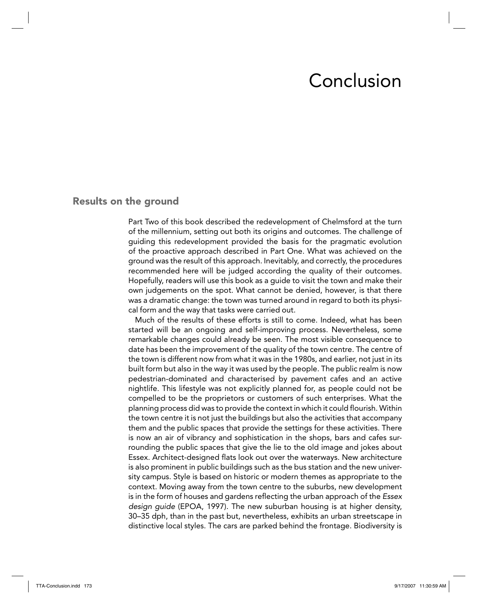# Conclusion

## **Results on the ground**

Part Two of this book described the redevelopment of Chelmsford at the turn of the millennium, setting out both its origins and outcomes. The challenge of guiding this redevelopment provided the basis for the pragmatic evolution of the proactive approach described in Part One. What was achieved on the ground was the result of this approach. Inevitably, and correctly, the procedures recommended here will be judged according the quality of their outcomes. Hopefully, readers will use this book as a guide to visit the town and make their own judgements on the spot. What cannot be denied, however, is that there was a dramatic change: the town was turned around in regard to both its physical form and the way that tasks were carried out.

Much of the results of these efforts is still to come. Indeed, what has been started will be an ongoing and self-improving process. Nevertheless, some remarkable changes could already be seen. The most visible consequence to date has been the improvement of the quality of the town centre. The centre of the town is different now from what it was in the 1980s, and earlier, not just in its built form but also in the way it was used by the people. The public realm is now pedestrian-dominated and characterised by pavement cafes and an active nightlife. This lifestyle was not explicitly planned for, as people could not be compelled to be the proprietors or customers of such enterprises. What the planning process did was to provide the context in which it could flourish. Within the town centre it is not just the buildings but also the activities that accompany them and the public spaces that provide the settings for these activities. There is now an air of vibrancy and sophistication in the shops, bars and cafes surrounding the public spaces that give the lie to the old image and jokes about Essex. Architect-designed flats look out over the waterways. New architecture is also prominent in public buildings such as the bus station and the new university campus. Style is based on historic or modern themes as appropriate to the context. Moving away from the town centre to the suburbs, new development is in the form of houses and gardens reflecting the urban approach of the Essex design guide (EPOA, 1997). The new suburban housing is at higher density, 30–35 dph, than in the past but, nevertheless, exhibits an urban streetscape in distinctive local styles. The cars are parked behind the frontage. Biodiversity is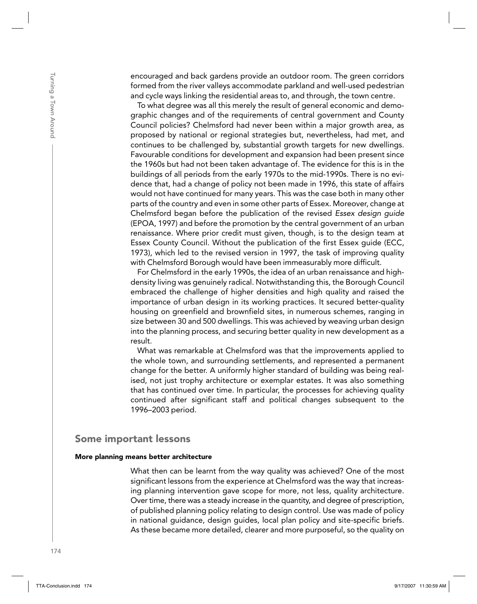encouraged and back gardens provide an outdoor room. The green corridors formed from the river valleys accommodate parkland and well-used pedestrian and cycle ways linking the residential areas to, and through, the town centre.

To what degree was all this merely the result of general economic and demographic changes and of the requirements of central government and County Council policies? Chelmsford had never been within a major growth area, as proposed by national or regional strategies but, nevertheless, had met, and continues to be challenged by, substantial growth targets for new dwellings. Favourable conditions for development and expansion had been present since the 1960s but had not been taken advantage of. The evidence for this is in the buildings of all periods from the early 1970s to the mid-1990s. There is no evidence that, had a change of policy not been made in 1996, this state of affairs would not have continued for many years. This was the case both in many other parts of the country and even in some other parts of Essex. Moreover, change at Chelmsford began before the publication of the revised Essex design guide (EPOA, 1997) and before the promotion by the central government of an urban renaissance. Where prior credit must given, though, is to the design team at Essex County Council. Without the publication of the first Essex guide (ECC, 1973), which led to the revised version in 1997, the task of improving quality with Chelmsford Borough would have been immeasurably more difficult.

For Chelmsford in the early 1990s, the idea of an urban renaissance and highdensity living was genuinely radical. Notwithstanding this, the Borough Council embraced the challenge of higher densities and high quality and raised the importance of urban design in its working practices. It secured better-quality housing on greenfield and brownfield sites, in numerous schemes, ranging in size between 30 and 500 dwellings. This was achieved by weaving urban design into the planning process, and securing better quality in new development as a result.

What was remarkable at Chelmsford was that the improvements applied to the whole town, and surrounding settlements, and represented a permanent change for the better. A uniformly higher standard of building was being realised, not just trophy architecture or exemplar estates. It was also something that has continued over time. In particular, the processes for achieving quality continued after significant staff and political changes subsequent to the 1996–2003 period.

### **Some important lessons**

#### **More planning means better architecture**

What then can be learnt from the way quality was achieved? One of the most significant lessons from the experience at Chelmsford was the way that increasing planning intervention gave scope for more, not less, quality architecture. Over time, there was a steady increase in the quantity, and degree of prescription, of published planning policy relating to design control. Use was made of policy in national guidance, design guides, local plan policy and site-specific briefs. As these became more detailed, clearer and more purposeful, so the quality on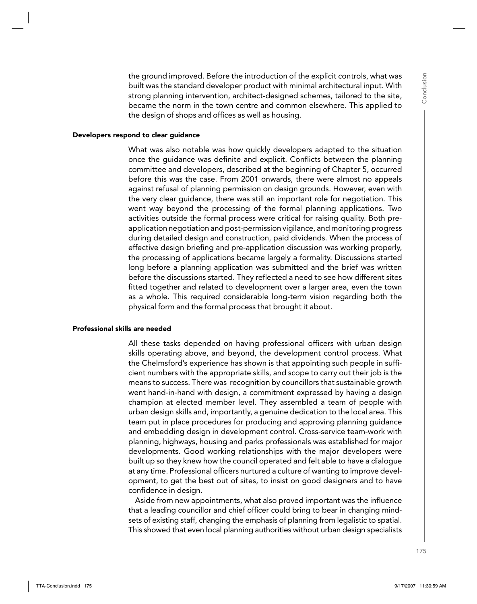the ground improved. Before the introduction of the explicit controls, what was built was the standard developer product with minimal architectural input. With strong planning intervention, architect-designed schemes, tailored to the site, became the norm in the town centre and common elsewhere. This applied to the design of shops and offices as well as housing.

#### **Developers respond to clear guidance**

What was also notable was how quickly developers adapted to the situation once the guidance was definite and explicit. Conflicts between the planning committee and developers, described at the beginning of Chapter 5, occurred before this was the case. From 2001 onwards, there were almost no appeals against refusal of planning permission on design grounds. However, even with the very clear guidance, there was still an important role for negotiation. This went way beyond the processing of the formal planning applications. Two activities outside the formal process were critical for raising quality. Both preapplication negotiation and post-permission vigilance, and monitoring progress during detailed design and construction, paid dividends. When the process of effective design briefing and pre-application discussion was working properly, the processing of applications became largely a formality. Discussions started long before a planning application was submitted and the brief was written before the discussions started. They reflected a need to see how different sites fitted together and related to development over a larger area, even the town as a whole. This required considerable long-term vision regarding both the physical form and the formal process that brought it about.

#### **Professional skills are needed**

All these tasks depended on having professional officers with urban design skills operating above, and beyond, the development control process. What the Chelmsford's experience has shown is that appointing such people in sufficient numbers with the appropriate skills, and scope to carry out their job is the means to success. There was recognition by councillors that sustainable growth went hand-in-hand with design, a commitment expressed by having a design champion at elected member level. They assembled a team of people with urban design skills and, importantly, a genuine dedication to the local area. This team put in place procedures for producing and approving planning guidance and embedding design in development control. Cross-service team-work with planning, highways, housing and parks professionals was established for major developments. Good working relationships with the major developers were built up so they knew how the council operated and felt able to have a dialogue at any time. Professional officers nurtured a culture of wanting to improve development, to get the best out of sites, to insist on good designers and to have confidence in design.

Aside from new appointments, what also proved important was the influence that a leading councillor and chief officer could bring to bear in changing mindsets of existing staff, changing the emphasis of planning from legalistic to spatial. This showed that even local planning authorities without urban design specialists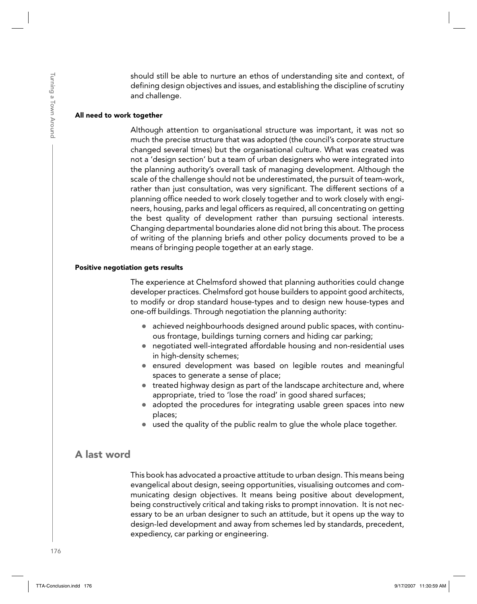should still be able to nurture an ethos of understanding site and context, of defining design objectives and issues, and establishing the discipline of scrutiny and challenge.

#### **All need to work together**

Although attention to organisational structure was important, it was not so much the precise structure that was adopted (the council's corporate structure changed several times) but the organisational culture. What was created was not a 'design section' but a team of urban designers who were integrated into the planning authority's overall task of managing development. Although the scale of the challenge should not be underestimated, the pursuit of team-work, rather than just consultation, was very significant. The different sections of a planning office needed to work closely together and to work closely with engineers, housing, parks and legal officers as required, all concentrating on getting the best quality of development rather than pursuing sectional interests. Changing departmental boundaries alone did not bring this about. The process of writing of the planning briefs and other policy documents proved to be a means of bringing people together at an early stage.

#### **Positive negotiation gets results**

The experience at Chelmsford showed that planning authorities could change developer practices. Chelmsford got house builders to appoint good architects, to modify or drop standard house-types and to design new house-types and one-off buildings. Through negotiation the planning authority:

- achieved neighbourhoods designed around public spaces, with continuous frontage, buildings turning corners and hiding car parking;
- negotiated well-integrated affordable housing and non-residential uses in high-density schemes;
- ensured development was based on legible routes and meaningful spaces to generate a sense of place;
- $\bullet$  treated highway design as part of the landscape architecture and, where appropriate, tried to 'lose the road' in good shared surfaces;
- adopted the procedures for integrating usable green spaces into new places;
- $\bullet$  used the quality of the public realm to glue the whole place together.

## **A last word**

This book has advocated a proactive attitude to urban design. This means being evangelical about design, seeing opportunities, visualising outcomes and communicating design objectives. It means being positive about development, being constructively critical and taking risks to prompt innovation. It is not necessary to be an urban designer to such an attitude, but it opens up the way to design-led development and away from schemes led by standards, precedent, expediency, car parking or engineering.